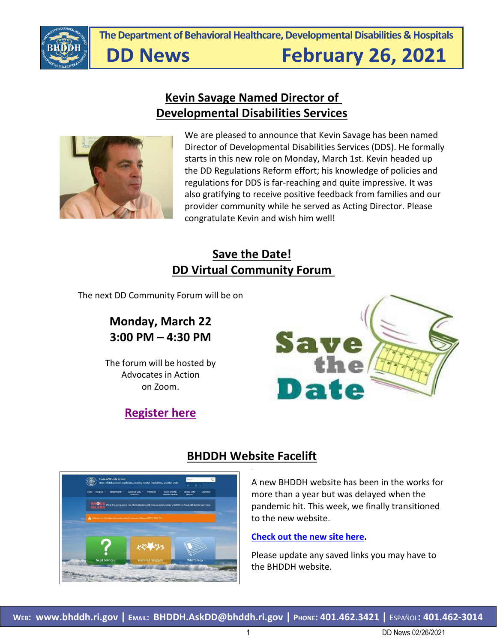

**The Department of Behavioral Healthcare, Developmental Disabilities & Hospitals**

# **DD News**

# **February 26, 2021**

### **Kevin Savage Named Director of Developmental Disabilities Services**



We are pleased to announce that Kevin Savage has been named Director of Developmental Disabilities Services (DDS). He formally starts in this new role on Monday, March 1st. Kevin headed up the DD Regulations Reform effort; his knowledge of policies and regulations for DDS is far-reaching and quite impressive. It was also gratifying to receive positive feedback from families and our provider community while he served as Acting Director. Please congratulate Kevin and wish him well!

### **Save the Date! DD Virtual Community Forum**

The next DD Community Forum will be on

### **Monday, March 22 3:00 PM – 4:30 PM**

The forum will be hosted by Advocates in Action on Zoom.



### **[Register here](https://urldefense.com/v3/__https:/tinyurl.com/MarDDCommunityForum__;!!KKphUJtCzQ!frQLKtR6EQSJblDx1OyFegEG4lKDweuFgPSopoNyYbF9c6LU7jBMnAJMoUmxFRucr3vwWjE$)**



### **BHDDH Website Facelift**

A new BHDDH website has been in the works for more than a year but was delayed when the pandemic hit. This week, we finally transitioned to the new website.

#### **[Check out the new site here.](https://bhddh.ri.gov/)**

Please update any saved links you may have to the BHDDH website.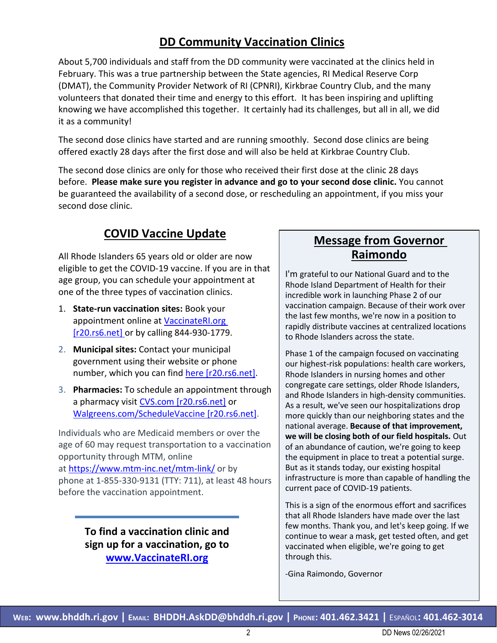### **DD Community Vaccination Clinics**

About 5,700 individuals and staff from the DD community were vaccinated at the clinics held in February. This was a true partnership between the State agencies, RI Medical Reserve Corp (DMAT), the Community Provider Network of RI (CPNRI), Kirkbrae Country Club, and the many volunteers that donated their time and energy to this effort. It has been inspiring and uplifting knowing we have accomplished this together. It certainly had its challenges, but all in all, we did it as a community!

The second dose clinics have started and are running smoothly. Second dose clinics are being offered exactly 28 days after the first dose and will also be held at Kirkbrae Country Club.

The second dose clinics are only for those who received their first dose at the clinic 28 days before. **Please make sure you register in advance and go to your second dose clinic.** You cannot be guaranteed the availability of a second dose, or rescheduling an appointment, if you miss your second dose clinic.

### **COVID Vaccine Update**

All Rhode Islanders 65 years old or older are now eligible to get the COVID-19 vaccine. If you are in that age group, you can schedule your appointment at one of the three types of vaccination clinics.

- 1. **State-run vaccination sites:** Book your appointment online at [VaccinateRI.org](https://urldefense.com/v3/__http:/r20.rs6.net/tn.jsp?f=001R9qs3YlDb04ObY-ghw-QtCcScaBMsRUa7OK93y0f98hgA5mc01J8RYZ2-TLuLJptnRNO-ro6IjpMIA07xxYBgDJXklv2_Fb-o2WiCKoxCCvA4WtJgWlkgOODzFd3TVmHdlgvStBtsyF08pW-_UtOvg==&c=6ZjIBAhICnxln2HMdpbp3h_eoFEAOFSAWPfid7-RF8upZTgfdUoK9A==&ch=0BPgzq5QJKrCv63QBrZOJgY47DAlOzmmz3WXXxVtASd47-95PWNZqg==__;!!KKphUJtCzQ!bop38ZFpnf0RRqVZCM4NF7LBatl0HUC053DxzMap-xYC7cvCi1r6_5_P4tLua689fP5nALg$)  [\[r20.rs6.net\]](https://urldefense.com/v3/__http:/r20.rs6.net/tn.jsp?f=001R9qs3YlDb04ObY-ghw-QtCcScaBMsRUa7OK93y0f98hgA5mc01J8RYZ2-TLuLJptnRNO-ro6IjpMIA07xxYBgDJXklv2_Fb-o2WiCKoxCCvA4WtJgWlkgOODzFd3TVmHdlgvStBtsyF08pW-_UtOvg==&c=6ZjIBAhICnxln2HMdpbp3h_eoFEAOFSAWPfid7-RF8upZTgfdUoK9A==&ch=0BPgzq5QJKrCv63QBrZOJgY47DAlOzmmz3WXXxVtASd47-95PWNZqg==__;!!KKphUJtCzQ!bop38ZFpnf0RRqVZCM4NF7LBatl0HUC053DxzMap-xYC7cvCi1r6_5_P4tLua689fP5nALg$) or by calling 844-930-1779.
- 2. **Municipal sites:** Contact your municipal government using their website or phone number, which you can find [here \[r20.rs6.net\].](https://urldefense.com/v3/__http:/r20.rs6.net/tn.jsp?f=001R9qs3YlDb04ObY-ghw-QtCcScaBMsRUa7OK93y0f98hgA5mc01J8RXau4EdtmAK15a0C0f4rW7mLusxUCE-vEEBbXS3q9Xa8YQQfn73weSlZuEChy_kGla1eB_O82nLW2A_NjjfarS8jBnoyGK-zCdgOTKNxeM2n5Oalxs6nD_XKbL45sNU9r_jzIshCyFnnNsz0fYD9xJnpwOX71sDJIQ==&c=6ZjIBAhICnxln2HMdpbp3h_eoFEAOFSAWPfid7-RF8upZTgfdUoK9A==&ch=0BPgzq5QJKrCv63QBrZOJgY47DAlOzmmz3WXXxVtASd47-95PWNZqg==__;!!KKphUJtCzQ!bop38ZFpnf0RRqVZCM4NF7LBatl0HUC053DxzMap-xYC7cvCi1r6_5_P4tLua6892ST8Y1k$)
- 3. **Pharmacies:** To schedule an appointment through a pharmacy visit [CVS.com \[r20.rs6.net\]](https://urldefense.com/v3/__http:/r20.rs6.net/tn.jsp?f=001R9qs3YlDb04ObY-ghw-QtCcScaBMsRUa7OK93y0f98hgA5mc01J8RXL9y3Waeo6Xcpc5NUltFYn9dqV_hCVY4m99KJB2vcJiteuNqTR11qcS6a2d2dGlkcf8j7d7BgIadWRZM6Jm7nc=&c=6ZjIBAhICnxln2HMdpbp3h_eoFEAOFSAWPfid7-RF8upZTgfdUoK9A==&ch=0BPgzq5QJKrCv63QBrZOJgY47DAlOzmmz3WXXxVtASd47-95PWNZqg==__;!!KKphUJtCzQ!bop38ZFpnf0RRqVZCM4NF7LBatl0HUC053DxzMap-xYC7cvCi1r6_5_P4tLua689QfUGBog$) or [Walgreens.com/ScheduleVaccine \[r20.rs6.net\].](https://urldefense.com/v3/__http:/r20.rs6.net/tn.jsp?f=001R9qs3YlDb04ObY-ghw-QtCcScaBMsRUa7OK93y0f98hgA5mc01J8RYZ2-TLuLJptqg9riSLEhAA17Q585UAxOAaEhtxmq2K8z0-1czQeAtGicbIoLjlaoHIpOKYtxkrADZaMk0zDbsdfRxOiVlbUC5FtWYY3kW1M&c=6ZjIBAhICnxln2HMdpbp3h_eoFEAOFSAWPfid7-RF8upZTgfdUoK9A==&ch=0BPgzq5QJKrCv63QBrZOJgY47DAlOzmmz3WXXxVtASd47-95PWNZqg==__;!!KKphUJtCzQ!bop38ZFpnf0RRqVZCM4NF7LBatl0HUC053DxzMap-xYC7cvCi1r6_5_P4tLua689EnM3ges$)

Individuals who are Medicaid members or over the age of 60 may request transportation to a vaccination opportunity through MTM, online at <https://www.mtm-inc.net/mtm-link/> or by phone at 1-855-330-9131 (TTY: 711), at least 48 hours before the vaccination appointment.

> **To find a vaccination clinic and sign up for a vaccination, go to [www.VaccinateRI.org](http://www.vaccinateri.org/)**

### **Message from Governor Raimondo**

I'm grateful to our National Guard and to the Rhode Island Department of Health for their incredible work in launching Phase 2 of our vaccination campaign. Because of their work over the last few months, we're now in a position to rapidly distribute vaccines at centralized locations to Rhode Islanders across the state.

Phase 1 of the campaign focused on vaccinating our highest-risk populations: health care workers, Rhode Islanders in nursing homes and other congregate care settings, older Rhode Islanders, and Rhode Islanders in high-density communities. As a result, we've seen our hospitalizations drop more quickly than our neighboring states and the national average. **Because of that improvement, we will be closing both of our field hospitals.** Out of an abundance of caution, we're going to keep the equipment in place to treat a potential surge. But as it stands today, our existing hospital infrastructure is more than capable of handling the current pace of COVID-19 patients.

This is a sign of the enormous effort and sacrifices that all Rhode Islanders have made over the last few months. Thank you, and let's keep going. If we continue to wear a mask, get tested often, and get vaccinated when eligible, we're going to get through this.

-Gina Raimondo, Governor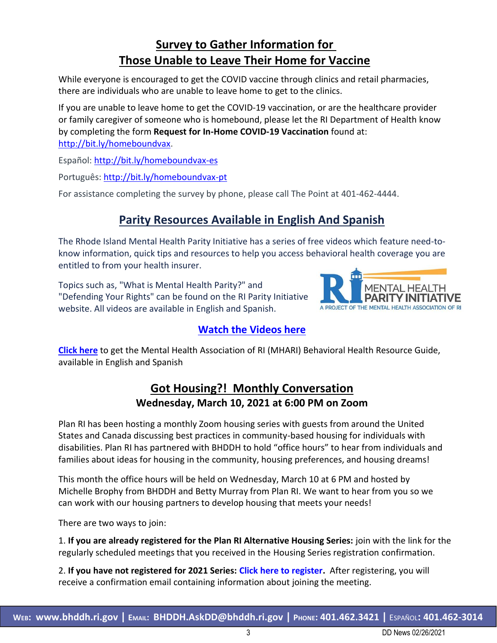### **Survey to Gather Information for Those Unable to Leave Their Home for Vaccine**

While everyone is encouraged to get the COVID vaccine through clinics and retail pharmacies, there are individuals who are unable to leave home to get to the clinics.

If you are unable to leave home to get the COVID-19 vaccination, or are the healthcare provider or family caregiver of someone who is homebound, please let the RI Department of Health know by completing the form **Request for In-Home COVID-19 Vaccination** found at: [http://bit.ly/homeboundvax.](http://bit.ly/homeboundvax)

Español: <http://bit.ly/homeboundvax-es>

Português: <http://bit.ly/homeboundvax-pt>

For assistance completing the survey by phone, please call The Point at 401-462-4444.

### **Parity Resources Available in English And Spanish**

The Rhode Island Mental Health Parity Initiative has a series of free videos which feature need-toknow information, quick tips and resources to help you access behavioral health coverage you are entitled to from your health insurer.

Topics such as, "What is Mental Health Parity?" and "Defending Your Rights" can be found on the RI Parity Initiative website. All videos are available in English and Spanish.

#### **[Watch the Videos here](https://riparity.org/ri-parity-videos/)**

**[Click here](https://mhari.org/resources/)** to get the Mental Health Association of RI (MHARI) Behavioral Health Resource Guide, available in English and Spanish

### **Got Housing?! Monthly Conversation Wednesday, March 10, 2021 at 6:00 PM on Zoom**

Plan RI has been hosting a monthly Zoom housing series with guests from around the United States and Canada discussing best practices in community-based housing for individuals with disabilities. Plan RI has partnered with BHDDH to hold "office hours" to hear from individuals and families about ideas for housing in the community, housing preferences, and housing dreams!

This month the office hours will be held on Wednesday, March 10 at 6 PM and hosted by Michelle Brophy from BHDDH and Betty Murray from Plan RI. We want to hear from you so we can work with our housing partners to develop housing that meets your needs!

There are two ways to join:

1. **If you are already registered for the Plan RI Alternative Housing Series:** join with the link for the regularly scheduled meetings that you received in the Housing Series registration confirmation.

2. **If you have not registered for 2021 Series: Click here to register.** After registering, you will receive a confirmation email containing information about joining the meeting.

MENTAL HEALTH

A PROJECT OF THE MENTAL HEALTH ASSOCIATION OF RI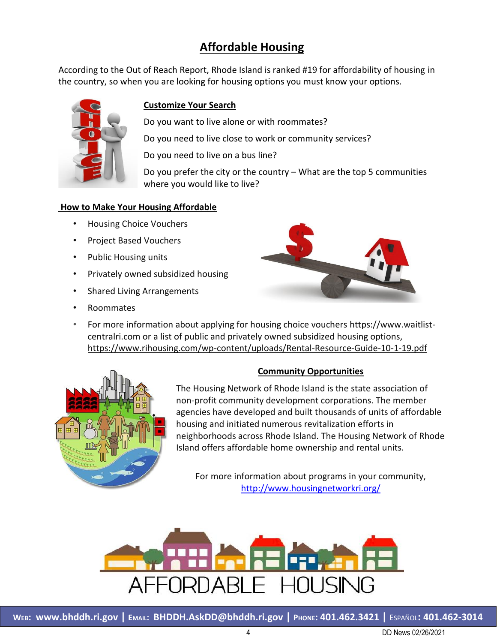### **Affordable Housing**

According to the Out of Reach Report, Rhode Island is ranked #19 for affordability of housing in the country, so when you are looking for housing options you must know your options.



#### **Customize Your Search**

Do you want to live alone or with roommates?

Do you need to live close to work or community services?

Do you need to live on a bus line?

Do you prefer the city or the country – What are the top 5 communities where you would like to live?

#### **How to Make Your Housing Affordable**

- Housing Choice Vouchers
- Project Based Vouchers
- Public Housing units
- Privately owned subsidized housing
- Shared Living Arrangements
- Roommates



• For more information about applying for housing choice vouchers [https://www.waitlist](https://www.waitlist-centralri.com/)[centralri.com](https://www.waitlist-centralri.com/) or a list of public and privately owned subsidized housing options, <https://www.rihousing.com/wp-content/uploads/Rental-Resource-Guide-10-1-19.pdf>



#### **Community Opportunities**

The Housing Network of Rhode Island is the state association of non-profit community development corporations. The member agencies have developed and built thousands of units of affordable housing and initiated numerous revitalization efforts in neighborhoods across Rhode Island. The Housing Network of Rhode Island offers affordable home ownership and rental units.

For more information about programs in your community, <http://www.housingnetworkri.org/>

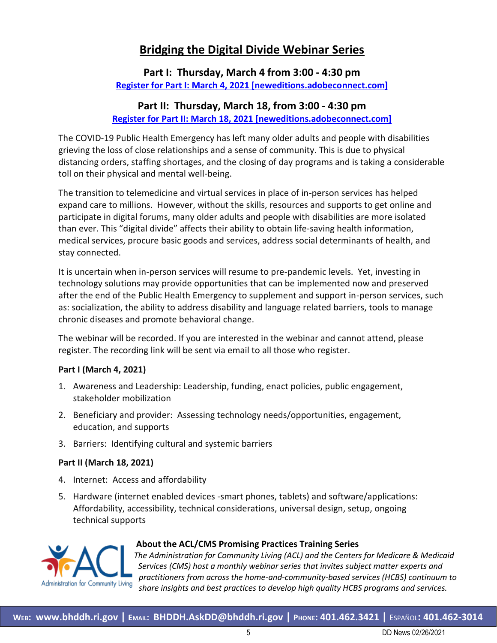### **Bridging the Digital Divide Webinar Series**

#### **Part I: Thursday, March 4 from 3:00 - 4:30 pm [Register for Part I: March 4, 2021 \[neweditions.adobeconnect.com\]](https://urldefense.com/v3/__https:/neweditions.adobeconnect.com/ehesz4xiim6u/event/event_info.html__;!!KKphUJtCzQ!YCo6TPduLZaNsY2ZxwafOqUi1X1HIH6r7Hz0JfYJ_uLT1BEUnx8VOYFXg3KQpcx731nzvC0$)**

#### **Part II: Thursday, March 18, from 3:00 - 4:30 pm Register for [Part II: March 18, 2021 \[neweditions.adobeconnect.com\]](https://urldefense.com/v3/__https:/neweditions.adobeconnect.com/en579zqupels/event/event_info.html__;!!KKphUJtCzQ!YCo6TPduLZaNsY2ZxwafOqUi1X1HIH6r7Hz0JfYJ_uLT1BEUnx8VOYFXg3KQpcx7KI3HY-8$)**

The COVID-19 Public Health Emergency has left many older adults and people with disabilities grieving the loss of close relationships and a sense of community. This is due to physical distancing orders, staffing shortages, and the closing of day programs and is taking a considerable toll on their physical and mental well-being.

The transition to telemedicine and virtual services in place of in-person services has helped expand care to millions. However, without the skills, resources and supports to get online and participate in digital forums, many older adults and people with disabilities are more isolated than ever. This "digital divide" affects their ability to obtain life-saving health information, medical services, procure basic goods and services, address social determinants of health, and stay connected.

It is uncertain when in-person services will resume to pre-pandemic levels. Yet, investing in technology solutions may provide opportunities that can be implemented now and preserved after the end of the Public Health Emergency to supplement and support in-person services, such as: socialization, the ability to address disability and language related barriers, tools to manage chronic diseases and promote behavioral change.

The webinar will be recorded. If you are interested in the webinar and cannot attend, please register. The recording link will be sent via email to all those who register.

#### **Part I (March 4, 2021)**

- 1. Awareness and Leadership: Leadership, funding, enact policies, public engagement, stakeholder mobilization
- 2. Beneficiary and provider: Assessing technology needs/opportunities, engagement, education, and supports
- 3. Barriers: Identifying cultural and systemic barriers

#### **Part II (March 18, 2021)**

- 4. Internet: Access and affordability
- 5. Hardware (internet enabled devices -smart phones, tablets) and software/applications: Affordability, accessibility, technical considerations, universal design, setup, ongoing technical supports



#### **About the ACL/CMS Promising Practices Training Series**

*The Administration for Community Living (ACL) and the Centers for Medicare & Medicaid Services (CMS) host a monthly webinar series that invites subject matter experts and practitioners from across the home-and-community-based services (HCBS) continuum to share insights and best practices to develop high quality HCBS programs and services.*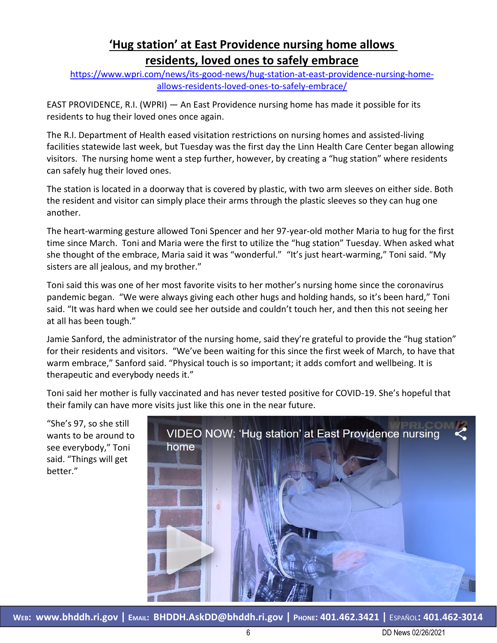### **'Hug station' at East Providence nursing home allows residents, loved ones to safely embrace**

[https://www.wpri.com/news/its-good-news/hug-station-at-east-providence-nursing-home](https://www.wpri.com/news/its-good-news/hug-station-at-east-providence-nursing-home-allows-residents-loved-ones-to-safely-embrace/)[allows-residents-loved-ones-to-safely-embrace/](https://www.wpri.com/news/its-good-news/hug-station-at-east-providence-nursing-home-allows-residents-loved-ones-to-safely-embrace/)

EAST PROVIDENCE, R.I. (WPRI) — An East Providence nursing home has made it possible for its residents to hug their loved ones once again.

The R.I. Department of Health eased visitation restrictions on nursing homes and assisted-living facilities statewide last week, but Tuesday was the first day the Linn Health Care Center began allowing visitors. The nursing home went a step further, however, by creating a "hug station" where residents can safely hug their loved ones.

The station is located in a doorway that is covered by plastic, with two arm sleeves on either side. Both the resident and visitor can simply place their arms through the plastic sleeves so they can hug one another.

The heart-warming gesture allowed Toni Spencer and her 97-year-old mother Maria to hug for the first time since March. Toni and Maria were the first to utilize the "hug station" Tuesday. When asked what she thought of the embrace, Maria said it was "wonderful." "It's just heart-warming," Toni said. "My sisters are all jealous, and my brother."

Toni said this was one of her most favorite visits to her mother's nursing home since the coronavirus pandemic began. "We were always giving each other hugs and holding hands, so it's been hard," Toni said. "It was hard when we could see her outside and couldn't touch her, and then this not seeing her at all has been tough."

Jamie Sanford, the administrator of the nursing home, said they're grateful to provide the "hug station" for their residents and visitors. "We've been waiting for this since the first week of March, to have that warm embrace," Sanford said. "Physical touch is so important; it adds comfort and wellbeing. It is therapeutic and everybody needs it."

Toni said her mother is fully vaccinated and has never tested positive for COVID-19. She's hopeful that their family can have more visits just like this one in the near future.

"She's 97, so she still wants to be around to see everybody," Toni said. "Things will get better."



**WEB: [www.bhddh.ri.gov](http://www.bhddh.ri.gov/) | EMAIL: [BHDDH.AskDD@bhddh.ri.gov](mailto:BHDDH.AskDD@bhddh.ri.gov) | PHONE: 401.462.3421 |** ESPAÑOL**: 401.462-3014**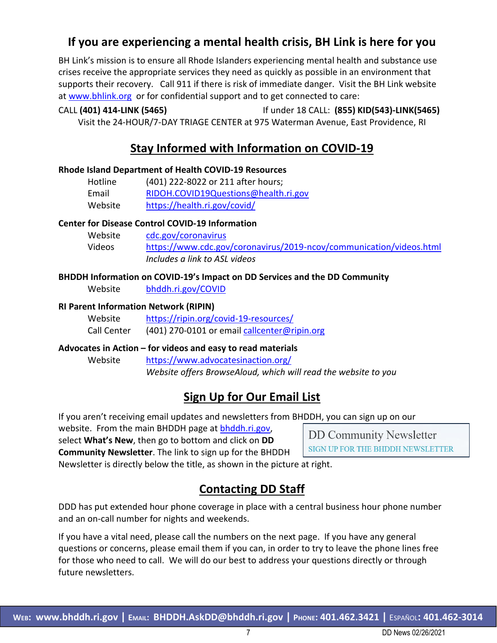### **If you are experiencing a mental health crisis, BH Link is here for you**

BH Link's mission is to ensure all Rhode Islanders experiencing mental health and substance use crises receive the appropriate services they need as quickly as possible in an environment that supports their recovery. Call 911 if there is risk of immediate danger. Visit the BH Link website at [www.bhlink.org](http://www.bhlink.org/) or for confidential support and to get connected to care:

#### CALL **(401) 414-LINK (5465)** If under 18 CALL: **(855) KID(543)-LINK(5465)** Visit the 24-HOUR/7-DAY TRIAGE CENTER at 975 Waterman Avenue, East Providence, RI

## **Stay Informed with Information on COVID-19**

#### **Rhode Island Department of Health COVID-19 Resources**

| Hotline | (401) 222-8022 or 211 after hours;   |
|---------|--------------------------------------|
| Email   | RIDOH.COVID19Questions@health.ri.gov |
| Website | https://health.ri.gov/covid/         |

#### **Center for Disease Control COVID-19 Information**

| Website | cdc.gov/coronavirus                                                 |
|---------|---------------------------------------------------------------------|
| Videos  | https://www.cdc.gov/coronavirus/2019-ncov/communication/videos.html |
|         | Includes a link to ASL videos                                       |

#### **BHDDH Information on COVID-19's Impact on DD Services and the DD Community**

Website [bhddh.ri.gov/COVID](http://www.bhddh.ri.gov/COVID) 

#### **RI Parent Information Network (RIPIN)**

| Website     | https://ripin.org/covid-19-resources/        |
|-------------|----------------------------------------------|
| Call Center | (401) 270-0101 or email callcenter@ripin.org |

#### **Advocates in Action – for videos and easy to read materials**

Website <https://www.advocatesinaction.org/> *Website offers BrowseAloud, which will read the website to you*

### **Sign Up for Our Email List**

If you aren't receiving email updates and newsletters from BHDDH, you can sign up on our

website. From the main BHDDH page at [bhddh.ri.gov,](http://www.bhddh.ri.gov/)

select **What's New**, then go to bottom and click on **DD**

SIGN UP FOR THE BHDDH NEWSLETTER **Community Newsletter**. The link to sign up for the BHDDH

Newsletter is directly below the title, as shown in the picture at right.

### **Contacting DD Staff**

DDD has put extended hour phone coverage in place with a central business hour phone number and an on-call number for nights and weekends.

If you have a vital need, please call the numbers on the next page. If you have any general questions or concerns, please email them if you can, in order to try to leave the phone lines free for those who need to call. We will do our best to address your questions directly or through future newsletters.

**DD Community Newsletter**